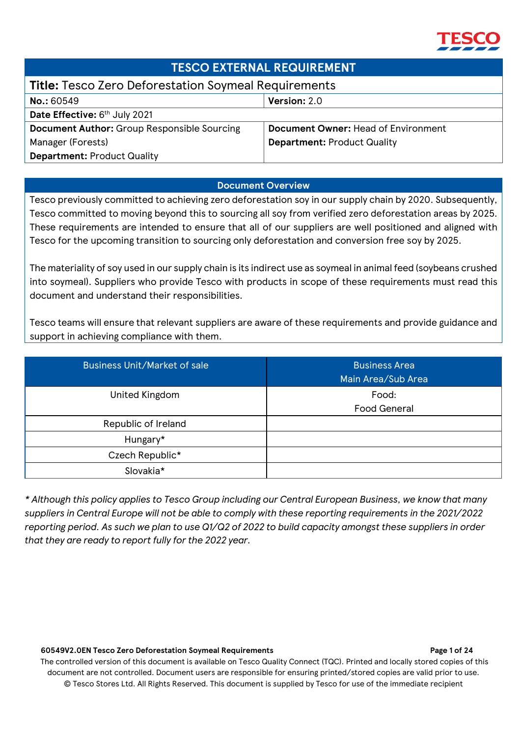

## **TESCO EXTERNAL REQUIREMENT**

## **Title:** Tesco Zero Deforestation Soymeal Requirements

| <b>No.: 60549</b>                                  | <b>Version:</b> 2.0                        |
|----------------------------------------------------|--------------------------------------------|
| Date Effective: 6 <sup>th</sup> July 2021          |                                            |
| <b>Document Author:</b> Group Responsible Sourcing | <b>Document Owner: Head of Environment</b> |
| Manager (Forests)                                  | <b>Department: Product Quality</b>         |
| <b>Department: Product Quality</b>                 |                                            |

## **Document Overview**

Tesco previously committed to achieving zero deforestation soy in our supply chain by 2020. Subsequently, Tesco committed to moving beyond this to sourcing all soy from verified zero deforestation areas by 2025. These requirements are intended to ensure that all of our suppliers are well positioned and aligned with Tesco for the upcoming transition to sourcing only deforestation and conversion free soy by 2025.

The materiality of soy used in our supply chain is its indirect use as soymeal in animal feed (soybeans crushed into soymeal). Suppliers who provide Tesco with products in scope of these requirements must read this document and understand their responsibilities.

Tesco teams will ensure that relevant suppliers are aware of these requirements and provide guidance and support in achieving compliance with them.

| <b>Business Unit/Market of sale</b> | <b>Business Area</b><br>Main Area/Sub Area |
|-------------------------------------|--------------------------------------------|
| United Kingdom                      | Food:<br><b>Food General</b>               |
| Republic of Ireland                 |                                            |
| Hungary*                            |                                            |
| Czech Republic*                     |                                            |
| Slovakia*                           |                                            |

*\* Although this policy applies to Tesco Group including our Central European Business, we know that many suppliers in Central Europe will not be able to comply with these reporting requirements in the 2021/2022 reporting period. As such we plan to use Q1/Q2 of 2022 to build capacity amongst these suppliers in order that they are ready to report fully for the 2022 year.* 

## **60549V2.0EN Tesco Zero Deforestation Soymeal Requirements Page 1 of 24**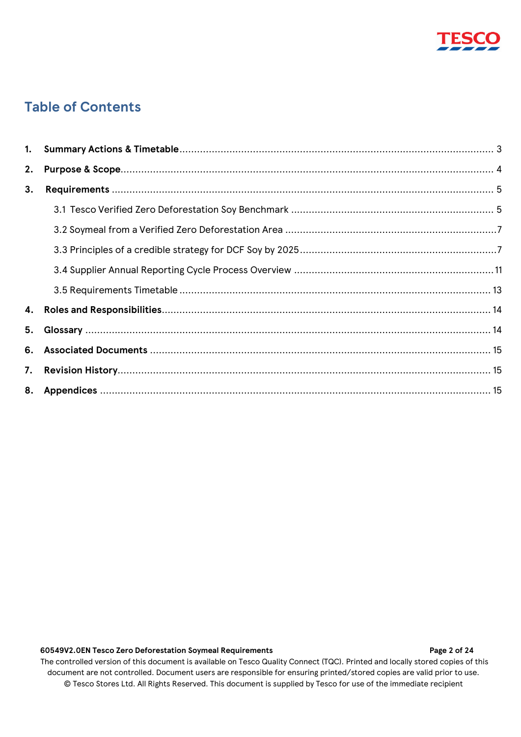

## **Table of Contents**

| 2. |  |  |  |
|----|--|--|--|
| 3. |  |  |  |
|    |  |  |  |
|    |  |  |  |
|    |  |  |  |
|    |  |  |  |
|    |  |  |  |
|    |  |  |  |
|    |  |  |  |
|    |  |  |  |
|    |  |  |  |
|    |  |  |  |

## **60549V2.0EN Tesco Zero Deforestation Soymeal Requirements Page 2 of 24**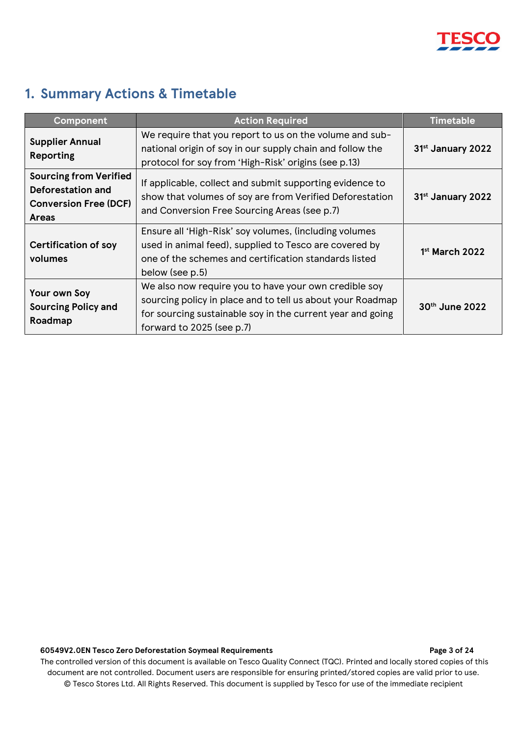

## <span id="page-2-0"></span>**1. Summary Actions & Timetable**

| <b>Component</b>                                                                                   | <b>Action Required</b>                                                                                                                                                                                         | <b>Timetable</b>              |
|----------------------------------------------------------------------------------------------------|----------------------------------------------------------------------------------------------------------------------------------------------------------------------------------------------------------------|-------------------------------|
| <b>Supplier Annual</b><br><b>Reporting</b>                                                         | We require that you report to us on the volume and sub-<br>national origin of soy in our supply chain and follow the<br>protocol for soy from 'High-Risk' origins (see p.13)                                   | 31 <sup>st</sup> January 2022 |
| <b>Sourcing from Verified</b><br>Deforestation and<br><b>Conversion Free (DCF)</b><br><b>Areas</b> | If applicable, collect and submit supporting evidence to<br>show that volumes of soy are from Verified Deforestation<br>and Conversion Free Sourcing Areas (see p.7)                                           | 31 <sup>st</sup> January 2022 |
| <b>Certification of soy</b><br>volumes                                                             | Ensure all 'High-Risk' soy volumes, (including volumes<br>used in animal feed), supplied to Tesco are covered by<br>one of the schemes and certification standards listed<br>below (see p.5)                   | $1st$ March 2022              |
| Your own Soy<br><b>Sourcing Policy and</b><br>Roadmap                                              | We also now require you to have your own credible soy<br>sourcing policy in place and to tell us about your Roadmap<br>for sourcing sustainable soy in the current year and going<br>forward to 2025 (see p.7) | $30th$ June 2022              |

### **60549V2.0EN Tesco Zero Deforestation Soymeal Requirements Page 3 of 24**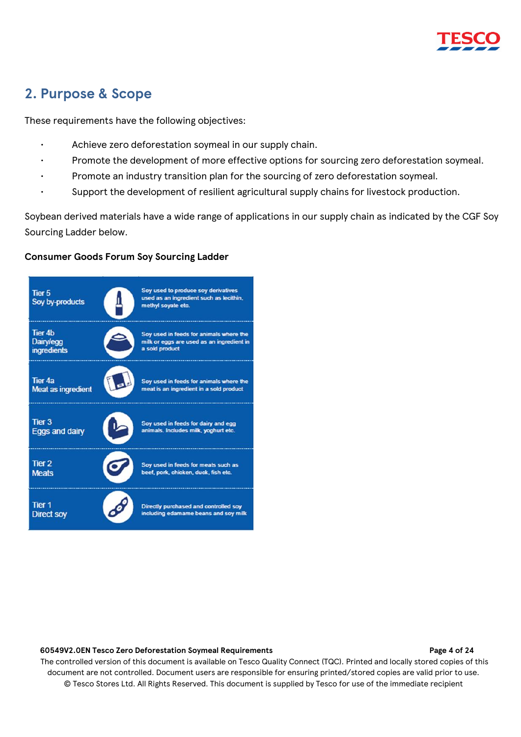## <span id="page-3-0"></span>**2. Purpose & Scope**

These requirements have the following objectives:

- Achieve zero deforestation soymeal in our supply chain.
- Promote the development of more effective options for sourcing zero deforestation soymeal.
- Promote an industry transition plan for the sourcing of zero deforestation soymeal.
	- Support the development of resilient agricultural supply chains for livestock production.

Soybean derived materials have a wide range of applications in our supply chain as indicated by the CGF Soy Sourcing Ladder below.

## **Consumer Goods Forum Soy Sourcing Ladder**



### **60549V2.0EN Tesco Zero Deforestation Soymeal Requirements Page 4 of 24**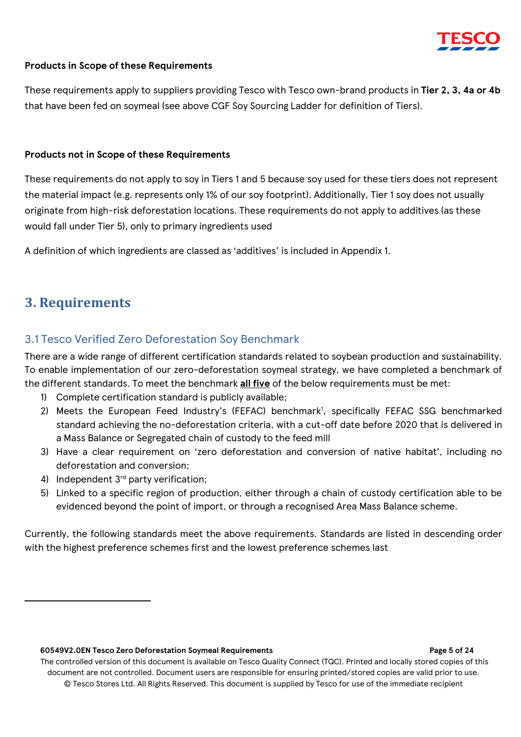

## **Products in Scope of these Requirements**

These requirements apply to suppliers providing Tesco with Tesco own-brand products in **Tier 2, 3, 4a or 4b**  that have been fed on soymeal (see above CGF Soy Sourcing Ladder for definition of Tiers).

## **Products not in Scope of these Requirements**

These requirements do not apply to soy in Tiers 1 and 5 because soy used for these tiers does not represent the material impact (e.g. represents only 1% of our soy footprint). Additionally, Tier 1 soy does not usually originate from high-risk deforestation locations. These requirements do not apply to additives (as these would fall under Tier 5), only to primary ingredients used

A definition of which ingredients are classed as 'additives' is included in Appendix 1.

## <span id="page-4-0"></span>**3. Requirements**

## <span id="page-4-1"></span>3.1 Tesco Verified Zero Deforestation Soy Benchmark

There are a wide range of different certification standards related to soybean production and sustainability. To enable implementation of our zero-deforestation soymeal strategy, we have completed a benchmark of the different standards. To meet the benchmark **all five** of the below requirements must be met:

- 1) Complete certification standard is publicly available;
- 2) Meets the European Feed Industry's (FEFAC) benchmark<sup>1</sup>, specifically FEFAC SSG benchmarked standard achieving the no-deforestation criteria, with a cut-off date before 2020 that is delivered in a Mass Balance or Segregated chain of custody to the feed mill
- 3) Have a clear requirement on 'zero deforestation and conversion of native habitat', including no deforestation and conversion;
- 4) Independent 3<sup>rd</sup> party verification:
- 5) Linked to a specific region of production, either through a chain of custody certification able to be evidenced beyond the point of import, or through a recognised Area Mass Balance scheme.

Currently, the following standards meet the above requirements. Standards are listed in descending order with the highest preference schemes first and the lowest preference schemes last

### **60549V2.0EN Tesco Zero Deforestation Soymeal Requirements Page 5 of 24**

The controlled version of this document is available on Tesco Quality Connect (TQC). Printed and locally stored copies of this document are not controlled. Document users are responsible for ensuring printed/stored copies are valid prior to use. © Tesco Stores Ltd. All Rights Reserved. This document is supplied by Tesco for use of the immediate recipient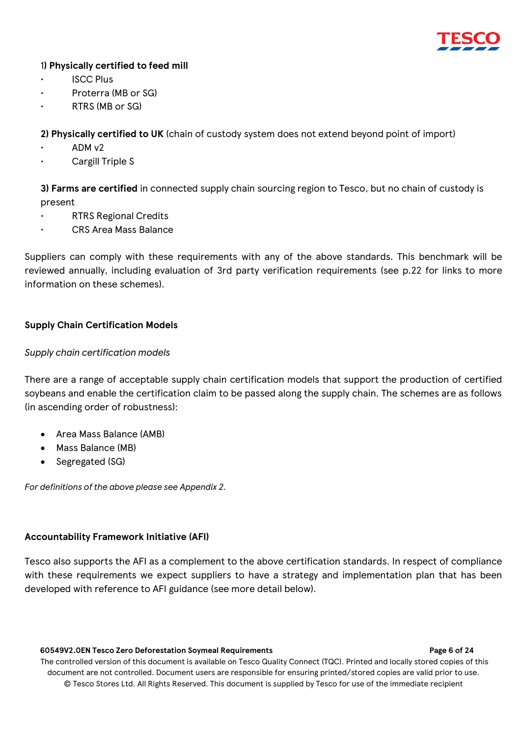

## 1**) Physically certified to feed mill**

- ISCC Plus
- Proterra (MB or SG)
- RTRS (MB or SG)

**2) Physically certified to UK** (chain of custody system does not extend beyond point of import)

- ADM v2
- Cargill Triple S

**3) Farms are certified** in connected supply chain sourcing region to Tesco, but no chain of custody is present

- RTRS Regional Credits
- CRS Area Mass Balance

Suppliers can comply with these requirements with any of the above standards. This benchmark will be reviewed annually, including evaluation of 3rd party verification requirements (see p.22 for links to more information on these schemes).

## **Supply Chain Certification Models**

## *Supply chain certification models*

There are a range of acceptable supply chain certification models that support the production of certified soybeans and enable the certification claim to be passed along the supply chain. The schemes are as follows (in ascending order of robustness):

- Area Mass Balance (AMB)
- Mass Balance (MB)
- Segregated (SG)

*For definitions of the above please see Appendix 2.* 

## **Accountability Framework Initiative (AFI)**

Tesco also supports the AFI as a complement to the above certification standards. In respect of compliance with these requirements we expect suppliers to have a strategy and implementation plan that has been developed with reference to AFI guidance (see more detail below).

### **60549V2.0EN Tesco Zero Deforestation Soymeal Requirements Page 6 of 24**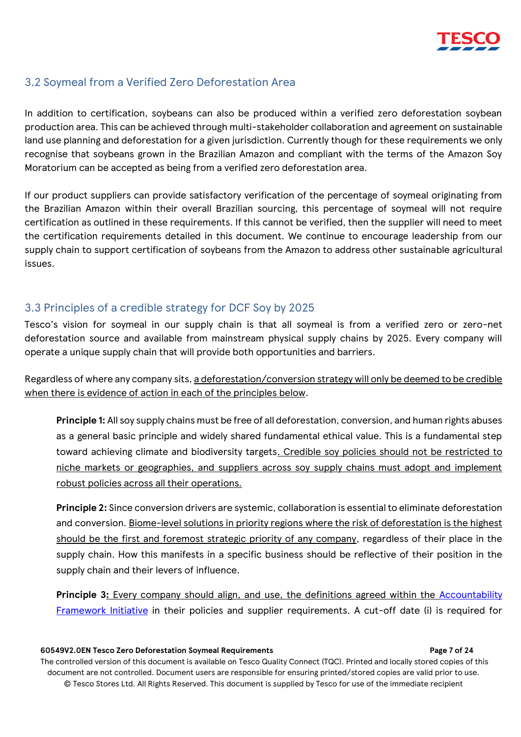

## <span id="page-6-0"></span>3.2 Soymeal from a Verified Zero Deforestation Area

In addition to certification, soybeans can also be produced within a verified zero deforestation soybean production area. This can be achieved through multi-stakeholder collaboration and agreement on sustainable land use planning and deforestation for a given jurisdiction. Currently though for these requirements we only recognise that soybeans grown in the Brazilian Amazon and compliant with the terms of the Amazon Soy Moratorium can be accepted as being from a verified zero deforestation area.

If our product suppliers can provide satisfactory verification of the percentage of soymeal originating from the Brazilian Amazon within their overall Brazilian sourcing, this percentage of soymeal will not require certification as outlined in these requirements. If this cannot be verified, then the supplier will need to meet the certification requirements detailed in this document. We continue to encourage leadership from our supply chain to support certification of soybeans from the Amazon to address other sustainable agricultural issues.

## <span id="page-6-1"></span>3.3 Principles of a credible strategy for DCF Soy by 2025

Tesco's vision for soymeal in our supply chain is that all soymeal is from a verified zero or zero-net deforestation source and available from mainstream physical supply chains by 2025. Every company will operate a unique supply chain that will provide both opportunities and barriers.

Regardless of where any company sits, a deforestation/conversion strategy will only be deemed to be credible when there is evidence of action in each of the principles below.

**Principle 1:** All soy supply chains must be free of all deforestation, conversion, and human rights abuses as a general basic principle and widely shared fundamental ethical value. This is a fundamental step toward achieving climate and biodiversity targets. Credible soy policies should not be restricted to niche markets or geographies, and suppliers across soy supply chains must adopt and implement robust policies across all their operations.

**Principle 2:** Since conversion drivers are systemic, collaboration is essential to eliminate deforestation and conversion. Biome-level solutions in priority regions where the risk of deforestation is the highest should be the first and foremost strategic priority of any company, regardless of their place in the supply chain. How this manifests in a specific business should be reflective of their position in the supply chain and their levers of influence.

Principle 3: Every company should align, and use, the definitions agreed within the Accountability [Framework Initiative](https://accountability-framework.org/) in their policies and supplier requirements. A cut-off date (i) is required for

### **60549V2.0EN Tesco Zero Deforestation Soymeal Requirements Page 7 of 24**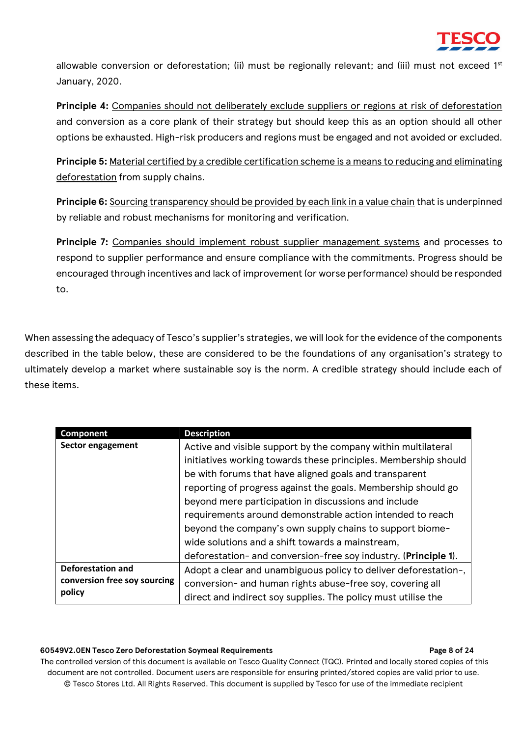

allowable conversion or deforestation; (ii) must be regionally relevant; and (iii) must not exceed 1<sup>st</sup> January, 2020.

**Principle 4:** Companies should not deliberately exclude suppliers or regions at risk of deforestation and conversion as a core plank of their strategy but should keep this as an option should all other options be exhausted. High-risk producers and regions must be engaged and not avoided or excluded.

**Principle 5:** Material certified by a credible certification scheme is a means to reducing and eliminating deforestation from supply chains.

**Principle 6:** Sourcing transparency should be provided by each link in a value chain that is underpinned by reliable and robust mechanisms for monitoring and verification.

Principle 7: Companies should implement robust supplier management systems and processes to respond to supplier performance and ensure compliance with the commitments. Progress should be encouraged through incentives and lack of improvement (or worse performance) should be responded to.

When assessing the adequacy of Tesco's supplier's strategies, we will look for the evidence of the components described in the table below, these are considered to be the foundations of any organisation's strategy to ultimately develop a market where sustainable soy is the norm. A credible strategy should include each of these items.

| Component                    | <b>Description</b>                                              |
|------------------------------|-----------------------------------------------------------------|
| Sector engagement            | Active and visible support by the company within multilateral   |
|                              | initiatives working towards these principles. Membership should |
|                              | be with forums that have aligned goals and transparent          |
|                              | reporting of progress against the goals. Membership should go   |
|                              | beyond mere participation in discussions and include            |
|                              | requirements around demonstrable action intended to reach       |
|                              | beyond the company's own supply chains to support biome-        |
|                              | wide solutions and a shift towards a mainstream,                |
|                              | deforestation- and conversion-free soy industry. (Principle 1). |
| <b>Deforestation and</b>     | Adopt a clear and unambiguous policy to deliver deforestation-, |
| conversion free soy sourcing | conversion- and human rights abuse-free soy, covering all       |
| policy                       | direct and indirect soy supplies. The policy must utilise the   |

#### **60549V2.0EN Tesco Zero Deforestation Soymeal Requirements Page 8 of 24**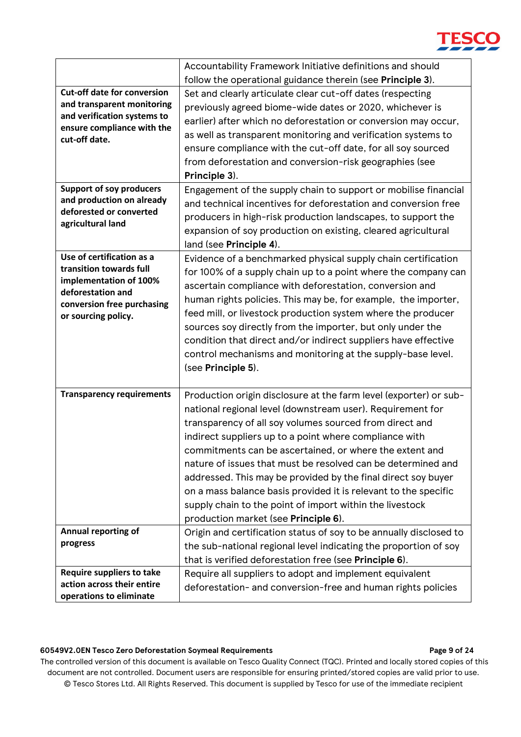# **TESCO**

|                                                           | Accountability Framework Initiative definitions and should         |
|-----------------------------------------------------------|--------------------------------------------------------------------|
|                                                           | follow the operational guidance therein (see Principle 3).         |
| <b>Cut-off date for conversion</b>                        | Set and clearly articulate clear cut-off dates (respecting         |
| and transparent monitoring                                | previously agreed biome-wide dates or 2020, whichever is           |
| and verification systems to<br>ensure compliance with the | earlier) after which no deforestation or conversion may occur,     |
| cut-off date.                                             | as well as transparent monitoring and verification systems to      |
|                                                           | ensure compliance with the cut-off date, for all soy sourced       |
|                                                           | from deforestation and conversion-risk geographies (see            |
|                                                           | Principle 3).                                                      |
| <b>Support of soy producers</b>                           | Engagement of the supply chain to support or mobilise financial    |
| and production on already                                 | and technical incentives for deforestation and conversion free     |
| deforested or converted<br>agricultural land              | producers in high-risk production landscapes, to support the       |
|                                                           | expansion of soy production on existing, cleared agricultural      |
|                                                           | land (see Principle 4).                                            |
| Use of certification as a                                 | Evidence of a benchmarked physical supply chain certification      |
| transition towards full                                   | for 100% of a supply chain up to a point where the company can     |
| implementation of 100%<br>deforestation and               | ascertain compliance with deforestation, conversion and            |
| conversion free purchasing                                | human rights policies. This may be, for example, the importer,     |
| or sourcing policy.                                       | feed mill, or livestock production system where the producer       |
|                                                           | sources soy directly from the importer, but only under the         |
|                                                           | condition that direct and/or indirect suppliers have effective     |
|                                                           | control mechanisms and monitoring at the supply-base level.        |
|                                                           | (see Principle 5).                                                 |
|                                                           |                                                                    |
| <b>Transparency requirements</b>                          | Production origin disclosure at the farm level (exporter) or sub-  |
|                                                           | national regional level (downstream user). Requirement for         |
|                                                           | transparency of all soy volumes sourced from direct and            |
|                                                           | indirect suppliers up to a point where compliance with             |
|                                                           | commitments can be ascertained, or where the extent and            |
|                                                           | nature of issues that must be resolved can be determined and       |
|                                                           | addressed. This may be provided by the final direct soy buyer      |
|                                                           | on a mass balance basis provided it is relevant to the specific    |
|                                                           | supply chain to the point of import within the livestock           |
|                                                           | production market (see Principle 6).                               |
| Annual reporting of                                       | Origin and certification status of soy to be annually disclosed to |
| progress                                                  | the sub-national regional level indicating the proportion of soy   |
|                                                           | that is verified deforestation free (see Principle 6).             |
| Require suppliers to take                                 | Require all suppliers to adopt and implement equivalent            |
| action across their entire                                | deforestation- and conversion-free and human rights policies       |
| operations to eliminate                                   |                                                                    |

## **60549V2.0EN Tesco Zero Deforestation Soymeal Requirements Page 9 of 24**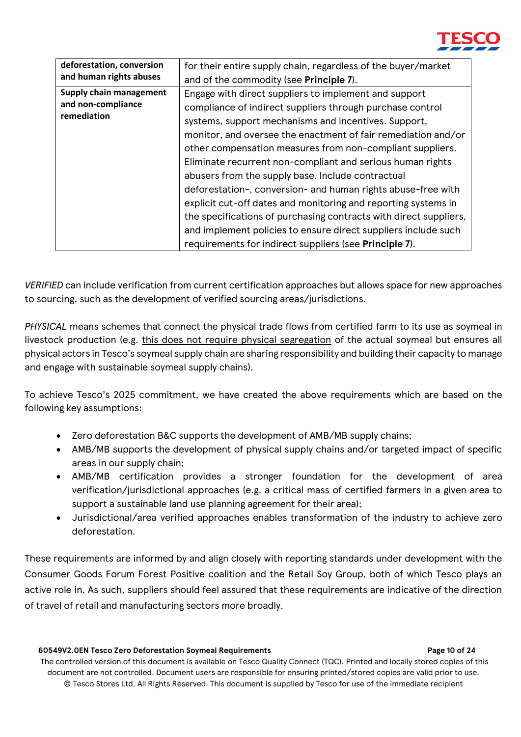

| deforestation, conversion<br>and human rights abuses         | for their entire supply chain, regardless of the buyer/market<br>and of the commodity (see <b>Principle 7</b> ).                                                                                                                                                                                                                                                                                                                                                                                                                                                                                                                                                                                                                                                       |
|--------------------------------------------------------------|------------------------------------------------------------------------------------------------------------------------------------------------------------------------------------------------------------------------------------------------------------------------------------------------------------------------------------------------------------------------------------------------------------------------------------------------------------------------------------------------------------------------------------------------------------------------------------------------------------------------------------------------------------------------------------------------------------------------------------------------------------------------|
| Supply chain management<br>and non-compliance<br>remediation | Engage with direct suppliers to implement and support<br>compliance of indirect suppliers through purchase control<br>systems, support mechanisms and incentives. Support,<br>monitor, and oversee the enactment of fair remediation and/or<br>other compensation measures from non-compliant suppliers.<br>Eliminate recurrent non-compliant and serious human rights<br>abusers from the supply base. Include contractual<br>deforestation-, conversion- and human rights abuse-free with<br>explicit cut-off dates and monitoring and reporting systems in<br>the specifications of purchasing contracts with direct suppliers,<br>and implement policies to ensure direct suppliers include such<br>requirements for indirect suppliers (see <b>Principle 7</b> ). |
|                                                              |                                                                                                                                                                                                                                                                                                                                                                                                                                                                                                                                                                                                                                                                                                                                                                        |

*VERIFIED* can include verification from current certification approaches but allows space for new approaches to sourcing, such as the development of verified sourcing areas/jurisdictions.

*PHYSICAL* means schemes that connect the physical trade flows from certified farm to its use as soymeal in livestock production (e.g. this does not require physical segregation of the actual soymeal but ensures all physical actors in Tesco's soymeal supply chain are sharing responsibility and building their capacity to manage and engage with sustainable soymeal supply chains).

To achieve Tesco's 2025 commitment, we have created the above requirements which are based on the following key assumptions:

- Zero deforestation B&C supports the development of AMB/MB supply chains;
- AMB/MB supports the development of physical supply chains and/or targeted impact of specific areas in our supply chain;
- AMB/MB certification provides a stronger foundation for the development of area verification/jurisdictional approaches (e.g. a critical mass of certified farmers in a given area to support a sustainable land use planning agreement for their area);
- Jurisdictional/area verified approaches enables transformation of the industry to achieve zero deforestation.

These requirements are informed by and align closely with reporting standards under development with the Consumer Goods Forum Forest Positive coalition and the Retail Soy Group, both of which Tesco plays an active role in. As such, suppliers should feel assured that these requirements are indicative of the direction of travel of retail and manufacturing sectors more broadly.

### **60549V2.0EN Tesco Zero Deforestation Soymeal Requirements Page 10 of 24**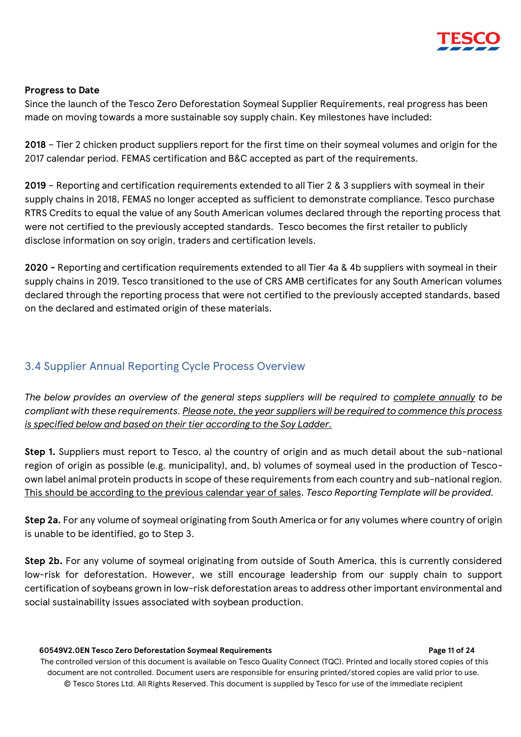

## **Progress to Date**

Since the launch of the Tesco Zero Deforestation Soymeal Supplier Requirements, real progress has been made on moving towards a more sustainable soy supply chain. Key milestones have included:

**2018** – Tier 2 chicken product suppliers report for the first time on their soymeal volumes and origin for the 2017 calendar period. FEMAS certification and B&C accepted as part of the requirements.

**2019** – Reporting and certification requirements extended to all Tier 2 & 3 suppliers with soymeal in their supply chains in 2018, FEMAS no longer accepted as sufficient to demonstrate compliance. Tesco purchase RTRS Credits to equal the value of any South American volumes declared through the reporting process that were not certified to the previously accepted standards. Tesco becomes the first retailer to publicly disclose information on soy origin, traders and certification levels.

**2020 -** Reporting and certification requirements extended to all Tier 4a & 4b suppliers with soymeal in their supply chains in 2019. Tesco transitioned to the use of CRS AMB certificates for any South American volumes declared through the reporting process that were not certified to the previously accepted standards, based on the declared and estimated origin of these materials.

## <span id="page-10-0"></span>3.4 Supplier Annual Reporting Cycle Process Overview

*The below provides an overview of the general steps suppliers will be required to complete annually to be compliant with these requirements. Please note, the year suppliers will be required to commence this process is specified below and based on their tier according to the Soy Ladder.* 

**Step 1.** Suppliers must report to Tesco, a) the country of origin and as much detail about the sub-national region of origin as possible (e.g. municipality), and, b) volumes of soymeal used in the production of Tescoown label animal protein products in scope of these requirements from each country and sub-national region. This should be according to the previous calendar year of sales. *Tesco Reporting Template will be provided.* 

**Step 2a.** For any volume of soymeal originating from South America or for any volumes where country of origin is unable to be identified, go to Step 3.

**Step 2b.** For any volume of soymeal originating from outside of South America, this is currently considered low-risk for deforestation. However, we still encourage leadership from our supply chain to support certification of soybeans grown in low-risk deforestation areas to address other important environmental and social sustainability issues associated with soybean production.

### **60549V2.0EN Tesco Zero Deforestation Soymeal Requirements Page 11 of 24**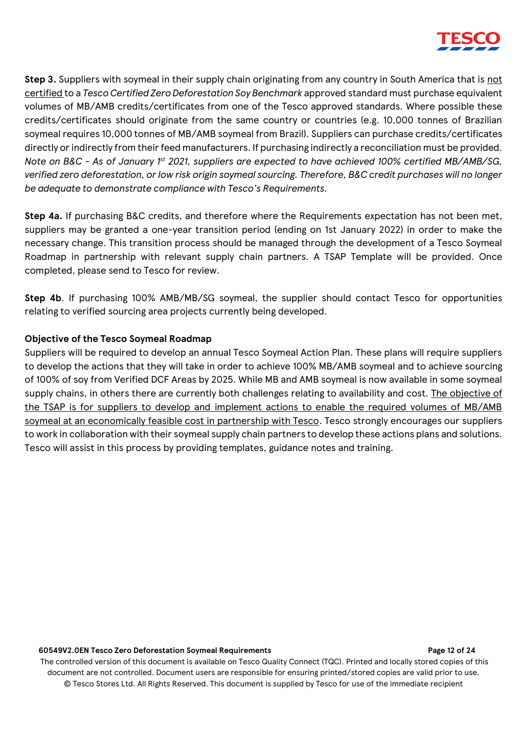

**Step 3.** Suppliers with soymeal in their supply chain originating from any country in South America that is not certified to a *Tesco Certified Zero Deforestation Soy Benchmark* approved standard must purchase equivalent volumes of MB/AMB credits/certificates from one of the Tesco approved standards. Where possible these credits/certificates should originate from the same country or countries (e.g. 10,000 tonnes of Brazilian soymeal requires 10,000 tonnes of MB/AMB soymeal from Brazil). Suppliers can purchase credits/certificates directly or indirectly from their feed manufacturers. If purchasing indirectly a reconciliation must be provided. *Note on B&C - As of January 1st 2021, suppliers are expected to have achieved 100% certified MB/AMB/SG, verified zero deforestation, or low risk origin soymeal sourcing. Therefore, B&C credit purchases will no longer be adequate to demonstrate compliance with Tesco's Requirements.*

**Step 4a.** If purchasing B&C credits, and therefore where the Requirements expectation has not been met, suppliers may be granted a one-year transition period (ending on 1st January 2022) in order to make the necessary change. This transition process should be managed through the development of a Tesco Soymeal Roadmap in partnership with relevant supply chain partners. A TSAP Template will be provided. Once completed, please send to Tesco for review.

**Step 4b**. If purchasing 100% AMB/MB/SG soymeal, the supplier should contact Tesco for opportunities relating to verified sourcing area projects currently being developed.

## **Objective of the Tesco Soymeal Roadmap**

Suppliers will be required to develop an annual Tesco Soymeal Action Plan. These plans will require suppliers to develop the actions that they will take in order to achieve 100% MB/AMB soymeal and to achieve sourcing of 100% of soy from Verified DCF Areas by 2025. While MB and AMB soymeal is now available in some soymeal supply chains, in others there are currently both challenges relating to availability and cost. The objective of the TSAP is for suppliers to develop and implement actions to enable the required volumes of MB/AMB soymeal at an economically feasible cost in partnership with Tesco. Tesco strongly encourages our suppliers to work in collaboration with their soymeal supply chain partners to develop these actions plans and solutions. Tesco will assist in this process by providing templates, guidance notes and training.

### **60549V2.0EN Tesco Zero Deforestation Soymeal Requirements Page 12 of 24**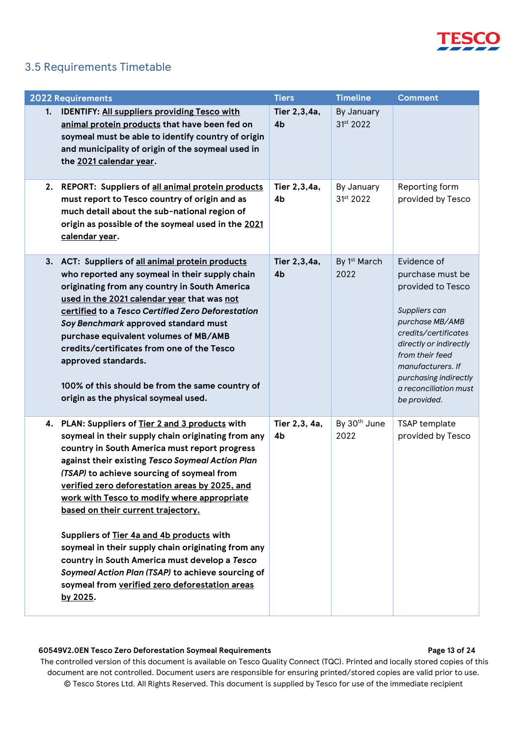

## <span id="page-12-0"></span>3.5 Requirements Timetable

| <b>2022 Requirements</b>                                                                                                                                                                                                                                                                                                                                                                                                                                                                                                                                                                                                                                                | <b>Tiers</b>                   | <b>Timeline</b>                  | <b>Comment</b>                                                                                                                                                                                                                                       |
|-------------------------------------------------------------------------------------------------------------------------------------------------------------------------------------------------------------------------------------------------------------------------------------------------------------------------------------------------------------------------------------------------------------------------------------------------------------------------------------------------------------------------------------------------------------------------------------------------------------------------------------------------------------------------|--------------------------------|----------------------------------|------------------------------------------------------------------------------------------------------------------------------------------------------------------------------------------------------------------------------------------------------|
| 1. IDENTIFY: All suppliers providing Tesco with<br>animal protein products that have been fed on<br>soymeal must be able to identify country of origin<br>and municipality of origin of the soymeal used in<br>the 2021 calendar year.                                                                                                                                                                                                                                                                                                                                                                                                                                  | Tier 2,3,4a,<br>4 <sub>b</sub> | By January<br>31st 2022          |                                                                                                                                                                                                                                                      |
| 2. REPORT: Suppliers of all animal protein products<br>must report to Tesco country of origin and as<br>much detail about the sub-national region of<br>origin as possible of the soymeal used in the 2021<br>calendar year.                                                                                                                                                                                                                                                                                                                                                                                                                                            | Tier 2,3,4a,<br>4b             | By January<br>31st 2022          | Reporting form<br>provided by Tesco                                                                                                                                                                                                                  |
| 3. ACT: Suppliers of all animal protein products<br>who reported any soymeal in their supply chain<br>originating from any country in South America<br>used in the 2021 calendar year that was not<br>certified to a Tesco Certified Zero Deforestation<br>Soy Benchmark approved standard must<br>purchase equivalent volumes of MB/AMB<br>credits/certificates from one of the Tesco<br>approved standards.<br>100% of this should be from the same country of<br>origin as the physical soymeal used.                                                                                                                                                                | Tier 2,3,4a,<br>4b             | By 1 <sup>st</sup> March<br>2022 | Evidence of<br>purchase must be<br>provided to Tesco<br>Suppliers can<br>purchase MB/AMB<br>credits/certificates<br>directly or indirectly<br>from their feed<br>manufacturers. If<br>purchasing indirectly<br>a reconciliation must<br>be provided. |
| 4. PLAN: Suppliers of Tier 2 and 3 products with<br>soymeal in their supply chain originating from any<br>country in South America must report progress<br>against their existing Tesco Soymeal Action Plan<br>(TSAP) to achieve sourcing of soymeal from<br>verified zero deforestation areas by 2025, and<br>work with Tesco to modify where appropriate<br>based on their current trajectory.<br>Suppliers of Tier 4a and 4b products with<br>soymeal in their supply chain originating from any<br>country in South America must develop a Tesco<br>Soymeal Action Plan (TSAP) to achieve sourcing of<br>soymeal from verified zero deforestation areas<br>by 2025. | Tier 2,3, 4a,<br>4b            | By 30 <sup>th</sup> June<br>2022 | <b>TSAP</b> template<br>provided by Tesco                                                                                                                                                                                                            |

## **60549V2.0EN Tesco Zero Deforestation Soymeal Requirements Page 13 of 24**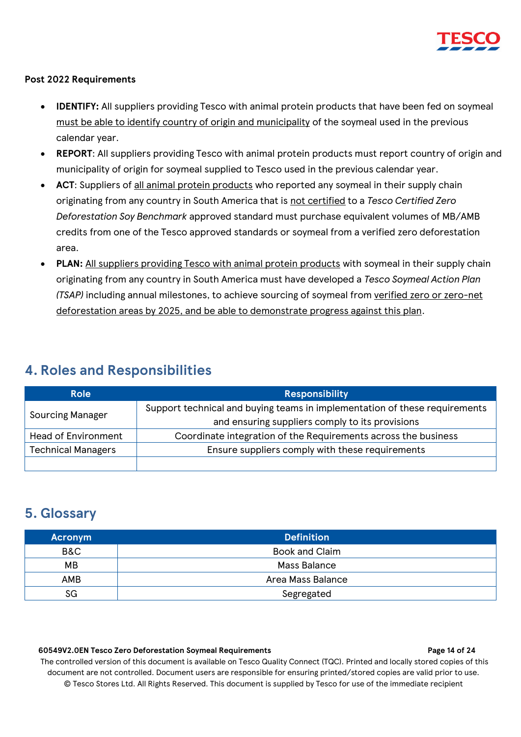

## **Post 2022 Requirements**

- **IDENTIFY:** All suppliers providing Tesco with animal protein products that have been fed on soymeal must be able to identify country of origin and municipality of the soymeal used in the previous calendar year.
- **REPORT**: All suppliers providing Tesco with animal protein products must report country of origin and municipality of origin for soymeal supplied to Tesco used in the previous calendar year.
- ACT: Suppliers of all animal protein products who reported any soymeal in their supply chain originating from any country in South America that is not certified to a *Tesco Certified Zero Deforestation Soy Benchmark* approved standard must purchase equivalent volumes of MB/AMB credits from one of the Tesco approved standards or soymeal from a verified zero deforestation area.
- **PLAN:** All suppliers providing Tesco with animal protein products with soymeal in their supply chain originating from any country in South America must have developed a *Tesco Soymeal Action Plan (TSAP)* including annual milestones, to achieve sourcing of soymeal from verified zero or zero-net deforestation areas by 2025, and be able to demonstrate progress against this plan.

## <span id="page-13-0"></span>**4. Roles and Responsibilities**

| <b>Role</b>                | <b>Responsibility</b>                                                      |  |  |
|----------------------------|----------------------------------------------------------------------------|--|--|
|                            | Support technical and buying teams in implementation of these requirements |  |  |
| <b>Sourcing Manager</b>    | and ensuring suppliers comply to its provisions                            |  |  |
| <b>Head of Environment</b> | Coordinate integration of the Requirements across the business             |  |  |
| <b>Technical Managers</b>  | Ensure suppliers comply with these requirements                            |  |  |
|                            |                                                                            |  |  |

## <span id="page-13-1"></span>**5. Glossary**

| <b>Acronym</b> | <b>Definition</b>     |
|----------------|-----------------------|
| B&C            | <b>Book and Claim</b> |
| MВ             | Mass Balance          |
| AMB            | Area Mass Balance     |
| SG             | Segregated            |

## **60549V2.0EN Tesco Zero Deforestation Soymeal Requirements Page 14 of 24**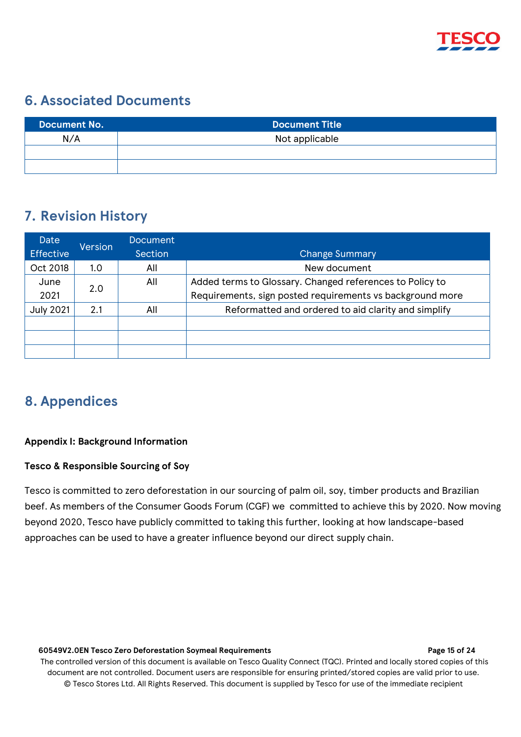

## <span id="page-14-0"></span>**6. Associated Documents**

| Document No. | <b>Document Title</b> |
|--------------|-----------------------|
| N/A          | Not applicable        |
|              |                       |
|              |                       |

## <span id="page-14-1"></span>**7. Revision History**

| Date<br><b>Effective</b> | Version | <b>Document</b><br>Section | <b>Change Summary</b>                                                                                                 |
|--------------------------|---------|----------------------------|-----------------------------------------------------------------------------------------------------------------------|
| Oct 2018                 | 1.0     | All                        | New document                                                                                                          |
| June<br>2021             | 2.0     | All                        | Added terms to Glossary. Changed references to Policy to<br>Requirements, sign posted requirements vs background more |
| <b>July 2021</b>         | 2.1     | All                        | Reformatted and ordered to aid clarity and simplify                                                                   |
|                          |         |                            |                                                                                                                       |
|                          |         |                            |                                                                                                                       |

## <span id="page-14-2"></span>**8. Appendices**

## **Appendix I: Background Information**

## **Tesco & Responsible Sourcing of Soy**

Tesco is committed to zero deforestation in our sourcing of palm oil, soy, timber products and Brazilian beef. As members of the Consumer Goods Forum (CGF) we committed to achieve this by 2020. Now moving beyond 2020, Tesco have publicly committed to taking this further, looking at how landscape-based approaches can be used to have a greater influence beyond our direct supply chain.

### **60549V2.0EN Tesco Zero Deforestation Soymeal Requirements Page 15 of 24**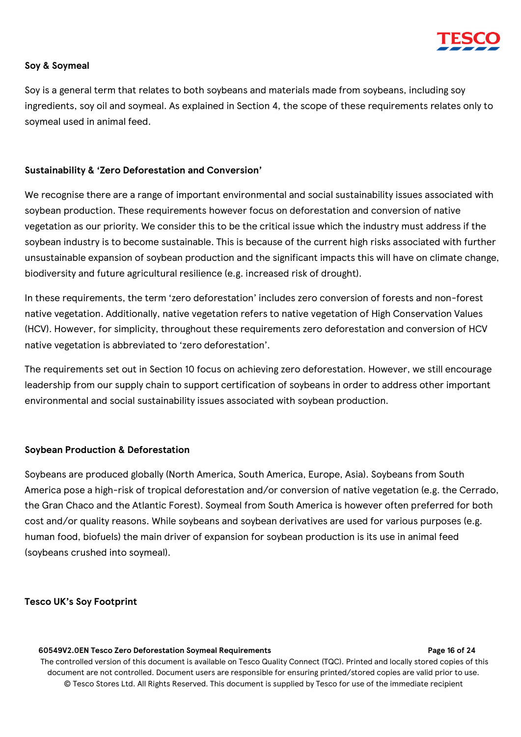

## **Soy & Soymeal**

Soy is a general term that relates to both soybeans and materials made from soybeans, including soy ingredients, soy oil and soymeal. As explained in Section 4, the scope of these requirements relates only to soymeal used in animal feed.

## **Sustainability & 'Zero Deforestation and Conversion'**

We recognise there are a range of important environmental and social sustainability issues associated with soybean production. These requirements however focus on deforestation and conversion of native vegetation as our priority. We consider this to be the critical issue which the industry must address if the soybean industry is to become sustainable. This is because of the current high risks associated with further unsustainable expansion of soybean production and the significant impacts this will have on climate change, biodiversity and future agricultural resilience (e.g. increased risk of drought).

In these requirements, the term 'zero deforestation' includes zero conversion of forests and non-forest native vegetation. Additionally, native vegetation refers to native vegetation of High Conservation Values (HCV). However, for simplicity, throughout these requirements zero deforestation and conversion of HCV native vegetation is abbreviated to 'zero deforestation'.

The requirements set out in Section 10 focus on achieving zero deforestation. However, we still encourage leadership from our supply chain to support certification of soybeans in order to address other important environmental and social sustainability issues associated with soybean production.

## **Soybean Production & Deforestation**

Soybeans are produced globally (North America, South America, Europe, Asia). Soybeans from South America pose a high-risk of tropical deforestation and/or conversion of native vegetation (e.g. the Cerrado, the Gran Chaco and the Atlantic Forest). Soymeal from South America is however often preferred for both cost and/or quality reasons. While soybeans and soybean derivatives are used for various purposes (e.g. human food, biofuels) the main driver of expansion for soybean production is its use in animal feed (soybeans crushed into soymeal).

## **Tesco UK's Soy Footprint**

#### **60549V2.0EN Tesco Zero Deforestation Soymeal Requirements Page 16 of 24**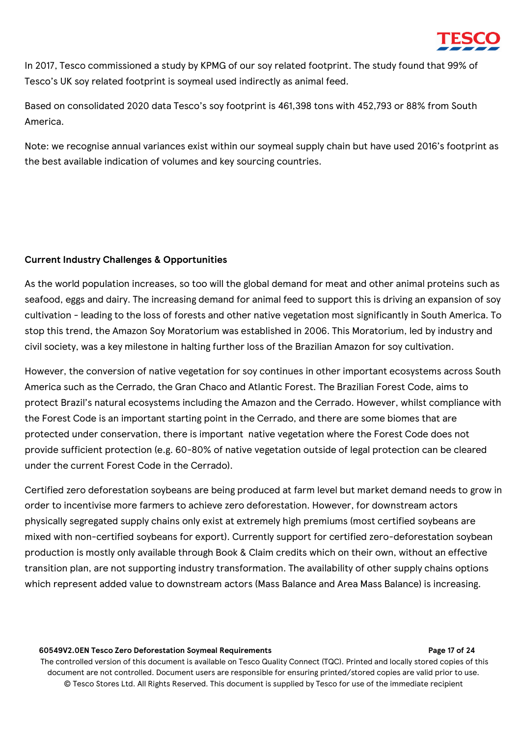

In 2017, Tesco commissioned a study by KPMG of our soy related footprint. The study found that 99% of Tesco's UK soy related footprint is soymeal used indirectly as animal feed.

Based on consolidated 2020 data Tesco's soy footprint is 461,398 tons with 452,793 or 88% from South America.

Note: we recognise annual variances exist within our soymeal supply chain but have used 2016's footprint as the best available indication of volumes and key sourcing countries.

## **Current Industry Challenges & Opportunities**

As the world population increases, so too will the global demand for meat and other animal proteins such as seafood, eggs and dairy. The increasing demand for animal feed to support this is driving an expansion of soy cultivation - leading to the loss of forests and other native vegetation most significantly in South America. To stop this trend, the Amazon Soy Moratorium was established in 2006. This Moratorium, led by industry and civil society, was a key milestone in halting further loss of the Brazilian Amazon for soy cultivation.

However, the conversion of native vegetation for soy continues in other important ecosystems across South America such as the Cerrado, the Gran Chaco and Atlantic Forest. The Brazilian Forest Code, aims to protect Brazil's natural ecosystems including the Amazon and the Cerrado. However, whilst compliance with the Forest Code is an important starting point in the Cerrado, and there are some biomes that are protected under conservation, there is important native vegetation where the Forest Code does not provide sufficient protection (e.g. 60-80% of native vegetation outside of legal protection can be cleared under the current Forest Code in the Cerrado).

Certified zero deforestation soybeans are being produced at farm level but market demand needs to grow in order to incentivise more farmers to achieve zero deforestation. However, for downstream actors physically segregated supply chains only exist at extremely high premiums (most certified soybeans are mixed with non-certified soybeans for export). Currently support for certified zero-deforestation soybean production is mostly only available through Book & Claim credits which on their own, without an effective transition plan, are not supporting industry transformation. The availability of other supply chains options which represent added value to downstream actors (Mass Balance and Area Mass Balance) is increasing.

### **60549V2.0EN Tesco Zero Deforestation Soymeal Requirements Page 17 of 24**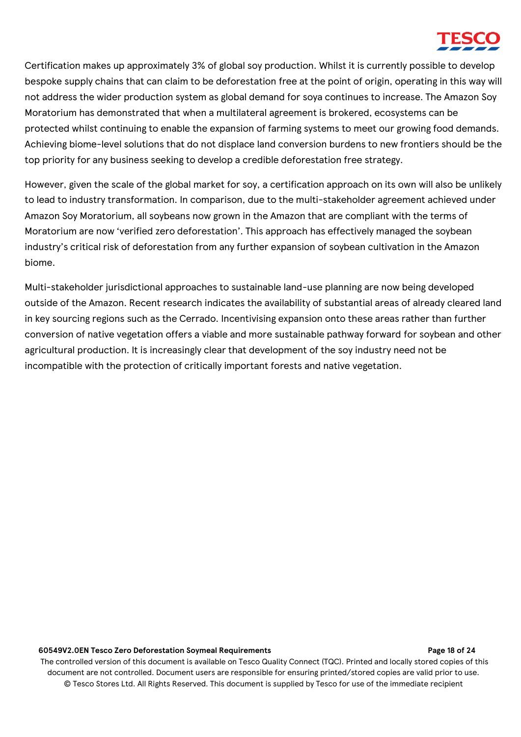Certification makes up approximately 3% of global soy production. Whilst it is currently possible to develop bespoke supply chains that can claim to be deforestation free at the point of origin, operating in this way will not address the wider production system as global demand for soya continues to increase. The Amazon Soy Moratorium has demonstrated that when a multilateral agreement is brokered, ecosystems can be protected whilst continuing to enable the expansion of farming systems to meet our growing food demands. Achieving biome-level solutions that do not displace land conversion burdens to new frontiers should be the top priority for any business seeking to develop a credible deforestation free strategy.

However, given the scale of the global market for soy, a certification approach on its own will also be unlikely to lead to industry transformation. In comparison, due to the multi-stakeholder agreement achieved under Amazon Soy Moratorium, all soybeans now grown in the Amazon that are compliant with the terms of Moratorium are now 'verified zero deforestation'. This approach has effectively managed the soybean industry's critical risk of deforestation from any further expansion of soybean cultivation in the Amazon biome.

Multi-stakeholder jurisdictional approaches to sustainable land-use planning are now being developed outside of the Amazon. Recent research indicates the availability of substantial areas of already cleared land in key sourcing regions such as the Cerrado. Incentivising expansion onto these areas rather than further conversion of native vegetation offers a viable and more sustainable pathway forward for soybean and other agricultural production. It is increasingly clear that development of the soy industry need not be incompatible with the protection of critically important forests and native vegetation.

### **60549V2.0EN Tesco Zero Deforestation Soymeal Requirements Page 18 of 24**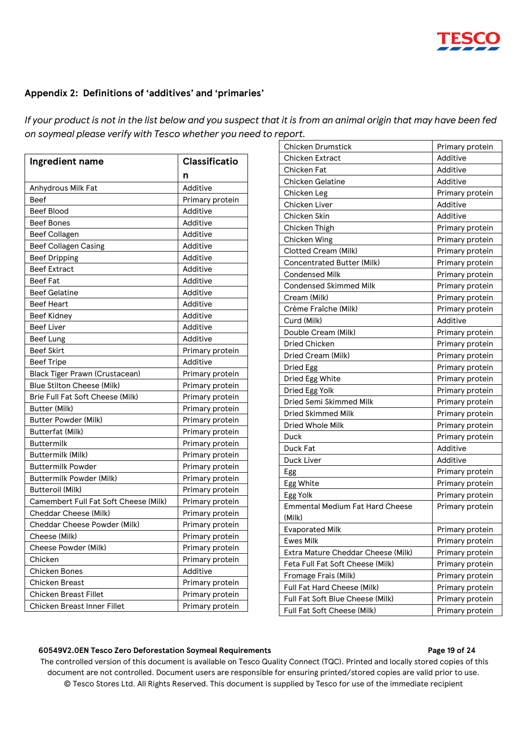

## **Appendix 2: Definitions of 'additives' and 'primaries'**

*If your product is not in the list below and you suspect that it is from an animal origin that may have been fed on soymeal please verify with Tesco whether you need to report.*

| Ingredient name                       | <b>Classificatio</b> |  |  |
|---------------------------------------|----------------------|--|--|
|                                       | n                    |  |  |
| Anhydrous Milk Fat                    | Additive             |  |  |
| Beef                                  | Primary protein      |  |  |
| Beef Blood                            | Additive             |  |  |
| <b>Beef Bones</b>                     | Additive             |  |  |
| <b>Beef Collagen</b>                  | Additive             |  |  |
| <b>Beef Collagen Casing</b>           | Additive             |  |  |
| <b>Beef Dripping</b>                  | Additive             |  |  |
| <b>Beef Extract</b>                   | Additive             |  |  |
| <b>Beef Fat</b>                       | Additive             |  |  |
| <b>Beef Gelatine</b>                  | Additive             |  |  |
| <b>Beef Heart</b>                     | Additive             |  |  |
| <b>Beef Kidney</b>                    | Additive             |  |  |
| <b>Beef Liver</b>                     | Additive             |  |  |
| <b>Beef Lung</b>                      | Additive             |  |  |
| <b>Beef Skirt</b>                     | Primary protein      |  |  |
| <b>Beef Tripe</b>                     | Additive             |  |  |
| <b>Black Tiger Prawn (Crustacean)</b> | Primary protein      |  |  |
| <b>Blue Stilton Cheese (Milk)</b>     | Primary protein      |  |  |
| Brie Full Fat Soft Cheese (Milk)      | Primary protein      |  |  |
| Butter (Milk)                         | Primary protein      |  |  |
| <b>Butter Powder (Milk)</b>           | Primary protein      |  |  |
| <b>Butterfat (Milk)</b>               | Primary protein      |  |  |
| <b>Buttermilk</b>                     | Primary protein      |  |  |
| Buttermilk (Milk)                     | Primary protein      |  |  |
| <b>Buttermilk Powder</b>              | Primary protein      |  |  |
| <b>Buttermilk Powder (Milk)</b>       | Primary protein      |  |  |
| Butteroil (Milk)                      | Primary protein      |  |  |
| Camembert Full Fat Soft Cheese (Milk) | Primary protein      |  |  |
| Cheddar Cheese (Milk)                 | Primary protein      |  |  |
| Cheddar Cheese Powder (Milk)          | Primary protein      |  |  |
| Cheese (Milk)                         | Primary protein      |  |  |
| Cheese Powder (Milk)                  | Primary protein      |  |  |
| Chicken                               | Primary protein      |  |  |
| <b>Chicken Bones</b>                  | Additive             |  |  |
| <b>Chicken Breast</b>                 | Primary protein      |  |  |
| <b>Chicken Breast Fillet</b>          | Primary protein      |  |  |
| <b>Chicken Breast Inner Fillet</b>    | Primary protein      |  |  |

| <b>Chicken Drumstick</b>               | Primary protein |  |  |
|----------------------------------------|-----------------|--|--|
| <b>Chicken Extract</b>                 | Additive        |  |  |
| Chicken Fat                            | Additive        |  |  |
| <b>Chicken Gelatine</b>                | Additive        |  |  |
| Chicken Leg                            | Primary protein |  |  |
| Chicken Liver                          | Additive        |  |  |
| Chicken Skin                           | Additive        |  |  |
| Chicken Thigh                          | Primary protein |  |  |
| Chicken Wing                           | Primary protein |  |  |
| Clotted Cream (Milk)                   | Primary protein |  |  |
| <b>Concentrated Butter (Milk)</b>      | Primary protein |  |  |
| <b>Condensed Milk</b>                  | Primary protein |  |  |
| <b>Condensed Skimmed Milk</b>          | Primary protein |  |  |
| Cream (Milk)                           | Primary protein |  |  |
| Crème Fraîche (Milk)                   | Primary protein |  |  |
| Curd (Milk)                            | Additive        |  |  |
| Double Cream (Milk)                    | Primary protein |  |  |
| <b>Dried Chicken</b>                   | Primary protein |  |  |
| Dried Cream (Milk)                     | Primary protein |  |  |
| Dried Egg                              | Primary protein |  |  |
| Dried Egg White                        | Primary protein |  |  |
| Dried Egg Yolk                         | Primary protein |  |  |
| Dried Semi Skimmed Milk                | Primary protein |  |  |
| <b>Dried Skimmed Milk</b>              | Primary protein |  |  |
| Dried Whole Milk                       | Primary protein |  |  |
| Duck                                   | Primary protein |  |  |
| Duck Fat                               | Additive        |  |  |
| Duck Liver                             | Additive        |  |  |
| Egg                                    | Primary protein |  |  |
| Egg White                              | Primary protein |  |  |
| Egg Yolk                               | Primary protein |  |  |
| <b>Emmental Medium Fat Hard Cheese</b> | Primary protein |  |  |
| (Milk)                                 |                 |  |  |
| <b>Evaporated Milk</b>                 | Primary protein |  |  |
| <b>Ewes Milk</b>                       | Primary protein |  |  |
| Extra Mature Cheddar Cheese (Milk)     | Primary protein |  |  |
| Feta Full Fat Soft Cheese (Milk)       | Primary protein |  |  |
| Fromage Frais (Milk)                   | Primary protein |  |  |
| Full Fat Hard Cheese (Milk)            | Primary protein |  |  |
| Full Fat Soft Blue Cheese (Milk)       | Primary protein |  |  |
| Full Fat Soft Cheese (Milk)            | Primary protein |  |  |

### **60549V2.0EN Tesco Zero Deforestation Soymeal Requirements Page 19 of 24**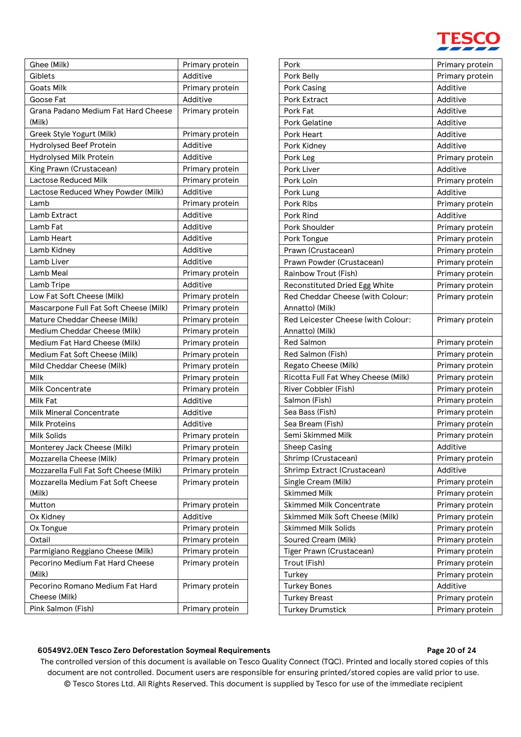

| Ghee (Milk)                            | Primary protein |  |  |
|----------------------------------------|-----------------|--|--|
| Giblets                                | Additive        |  |  |
| <b>Goats Milk</b>                      | Primary protein |  |  |
| Goose Fat                              | Additive        |  |  |
| Grana Padano Medium Fat Hard Cheese    | Primary protein |  |  |
| (Milk)                                 |                 |  |  |
| Greek Style Yogurt (Milk)              | Primary protein |  |  |
| <b>Hydrolysed Beef Protein</b>         | Additive        |  |  |
| Hydrolysed Milk Protein                | Additive        |  |  |
| King Prawn (Crustacean)                | Primary protein |  |  |
| <b>Lactose Reduced Milk</b>            | Primary protein |  |  |
| Lactose Reduced Whey Powder (Milk)     | Additive        |  |  |
| Lamb                                   | Primary protein |  |  |
| Lamb Extract                           | Additive        |  |  |
| Lamb Fat                               | Additive        |  |  |
| Lamb Heart                             | Additive        |  |  |
| Lamb Kidney                            | Additive        |  |  |
| Lamb Liver                             | Additive        |  |  |
| Lamb Meal                              | Primary protein |  |  |
| Lamb Tripe                             | Additive        |  |  |
| Low Fat Soft Cheese (Milk)             | Primary protein |  |  |
| Mascarpone Full Fat Soft Cheese (Milk) | Primary protein |  |  |
| Mature Cheddar Cheese (Milk)           | Primary protein |  |  |
| Medium Cheddar Cheese (Milk)           | Primary protein |  |  |
| Medium Fat Hard Cheese (Milk)          | Primary protein |  |  |
| Medium Fat Soft Cheese (Milk)          | Primary protein |  |  |
| Mild Cheddar Cheese (Milk)             | Primary protein |  |  |
| Milk                                   | Primary protein |  |  |
| <b>Milk Concentrate</b>                | Primary protein |  |  |
| Milk Fat                               | Additive        |  |  |
| <b>Milk Mineral Concentrate</b>        | Additive        |  |  |
| <b>Milk Proteins</b>                   | Additive        |  |  |
| <b>Milk Solids</b>                     | Primary protein |  |  |
| Monterey Jack Cheese (Milk)            | Primary protein |  |  |
| Mozzarella Cheese (Milk)               | Primary protein |  |  |
| Mozzarella Full Fat Soft Cheese (Milk) | Primary protein |  |  |
| Mozzarella Medium Fat Soft Cheese      | Primary protein |  |  |
| (Milk)                                 |                 |  |  |
| Mutton                                 | Primary protein |  |  |
| Ox Kidney                              | Additive        |  |  |
| Ox Tongue                              | Primary protein |  |  |
| Oxtail                                 | Primary protein |  |  |
| Parmigiano Reggiano Cheese (Milk)      | Primary protein |  |  |
| Pecorino Medium Fat Hard Cheese        | Primary protein |  |  |
| (Milk)                                 |                 |  |  |
| Pecorino Romano Medium Fat Hard        | Primary protein |  |  |
| Cheese (Milk)                          |                 |  |  |
| Pink Salmon (Fish)                     | Primary protein |  |  |

| Pork                                | Primary protein |  |  |
|-------------------------------------|-----------------|--|--|
| Pork Belly                          | Primary protein |  |  |
| Pork Casing                         | Additive        |  |  |
| <b>Pork Extract</b>                 | Additive        |  |  |
| Pork Fat                            | Additive        |  |  |
| <b>Pork Gelatine</b>                | Additive        |  |  |
| <b>Pork Heart</b>                   | Additive        |  |  |
| Pork Kidney                         | Additive        |  |  |
| Pork Leg                            | Primary protein |  |  |
| <b>Pork Liver</b>                   | Additive        |  |  |
| Pork Loin                           | Primary protein |  |  |
| Pork Lung                           | Additive        |  |  |
| Pork Ribs                           | Primary protein |  |  |
| Pork Rind                           | Additive        |  |  |
| Pork Shoulder                       | Primary protein |  |  |
| Pork Tongue                         | Primary protein |  |  |
| Prawn (Crustacean)                  | Primary protein |  |  |
| Prawn Powder (Crustacean)           | Primary protein |  |  |
| Rainbow Trout (Fish)                | Primary protein |  |  |
| Reconstituted Dried Egg White       | Primary protein |  |  |
| Red Cheddar Cheese (with Colour:    | Primary protein |  |  |
| Annatto) (Milk)                     |                 |  |  |
| Red Leicester Cheese (with Colour:  | Primary protein |  |  |
| Annatto) (Milk)                     |                 |  |  |
| <b>Red Salmon</b>                   | Primary protein |  |  |
| Red Salmon (Fish)                   | Primary protein |  |  |
| Regato Cheese (Milk)                | Primary protein |  |  |
| Ricotta Full Fat Whey Cheese (Milk) | Primary protein |  |  |
| River Cobbler (Fish)                | Primary protein |  |  |
| Salmon (Fish)                       | Primary protein |  |  |
| Sea Bass (Fish)                     | Primary protein |  |  |
| Sea Bream (Fish)                    | Primary protein |  |  |
| Semi Skimmed Milk                   | Primary protein |  |  |
| <b>Sheep Casing</b>                 | Additive        |  |  |
| Shrimp (Crustacean)                 | Primary protein |  |  |
| Shrimp Extract (Crustacean)         | Additive        |  |  |
| Single Cream (Milk)                 | Primary protein |  |  |
| <b>Skimmed Milk</b>                 | Primary protein |  |  |
| <b>Skimmed Milk Concentrate</b>     | Primary protein |  |  |
| Skimmed Milk Soft Cheese (Milk)     | Primary protein |  |  |
| <b>Skimmed Milk Solids</b>          | Primary protein |  |  |
| Soured Cream (Milk)                 | Primary protein |  |  |
| Tiger Prawn (Crustacean)            | Primary protein |  |  |
| Trout (Fish)                        | Primary protein |  |  |
| Turkey                              | Primary protein |  |  |
| <b>Turkey Bones</b>                 | Additive        |  |  |
| <b>Turkey Breast</b>                | Primary protein |  |  |
| <b>Turkey Drumstick</b>             | Primary protein |  |  |

## **60549V2.0EN Tesco Zero Deforestation Soymeal Requirements Page 20 of 24**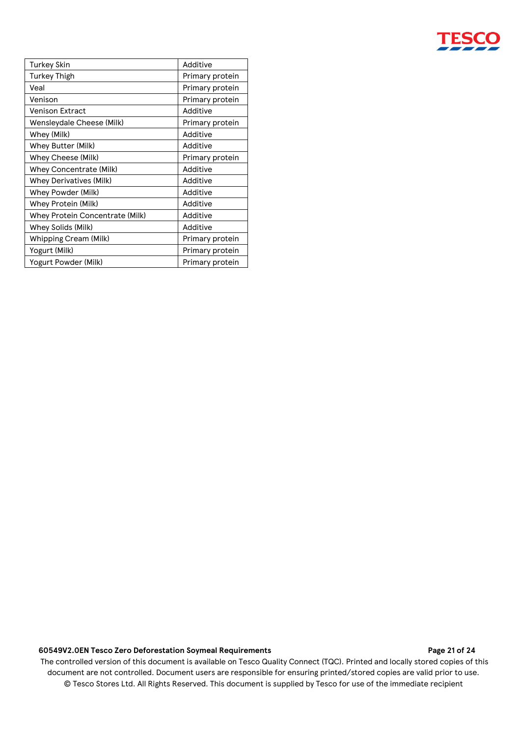

| <b>Turkey Skin</b>              | Additive        |  |
|---------------------------------|-----------------|--|
| <b>Turkey Thigh</b>             | Primary protein |  |
| Veal                            | Primary protein |  |
| Venison                         | Primary protein |  |
| Venison Extract                 | Additive        |  |
| Wensleydale Cheese (Milk)       | Primary protein |  |
| Whey (Milk)                     | Additive        |  |
| Whey Butter (Milk)              | Additive        |  |
| Whey Cheese (Milk)              | Primary protein |  |
| Whey Concentrate (Milk)         | Additive        |  |
| <b>Whey Derivatives (Milk)</b>  | Additive        |  |
| Whey Powder (Milk)              | Additive        |  |
| Whey Protein (Milk)             | Additive        |  |
| Whey Protein Concentrate (Milk) | Additive        |  |
| Whey Solids (Milk)              | Additive        |  |
| Whipping Cream (Milk)           | Primary protein |  |
| Yogurt (Milk)                   | Primary protein |  |
| Yogurt Powder (Milk)            | Primary protein |  |

## **60549V2.0EN Tesco Zero Deforestation Soymeal Requirements Page 21 of 24**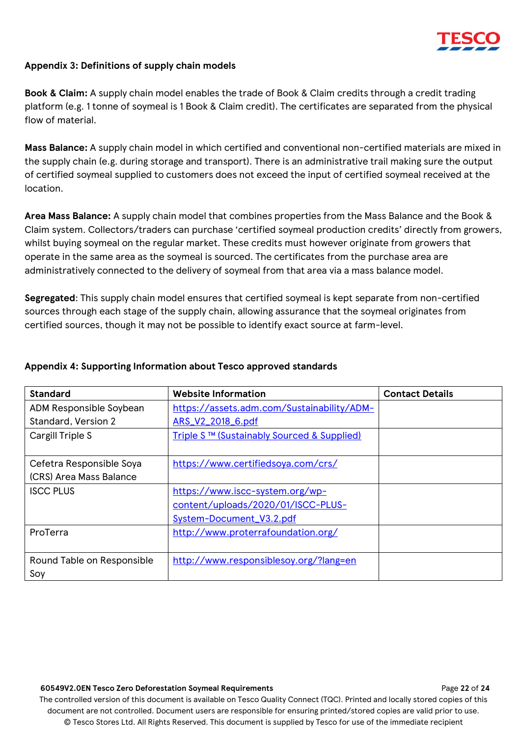

## **Appendix 3: Definitions of supply chain models**

**Book & Claim:** A supply chain model enables the trade of Book & Claim credits through a credit trading platform (e.g. 1 tonne of soymeal is 1 Book & Claim credit). The certificates are separated from the physical flow of material.

**Mass Balance:** A supply chain model in which certified and conventional non-certified materials are mixed in the supply chain (e.g. during storage and transport). There is an administrative trail making sure the output of certified soymeal supplied to customers does not exceed the input of certified soymeal received at the location.

**Area Mass Balance:** A supply chain model that combines properties from the Mass Balance and the Book & Claim system. Collectors/traders can purchase 'certified soymeal production credits' directly from growers, whilst buying soymeal on the regular market. These credits must however originate from growers that operate in the same area as the soymeal is sourced. The certificates from the purchase area are administratively connected to the delivery of soymeal from that area via a mass balance model.

**Segregated**: This supply chain model ensures that certified soymeal is kept separate from non-certified sources through each stage of the supply chain, allowing assurance that the soymeal originates from certified sources, though it may not be possible to identify exact source at farm-level.

| <b>Standard</b>            | <b>Website Information</b>                 | <b>Contact Details</b> |
|----------------------------|--------------------------------------------|------------------------|
| ADM Responsible Soybean    | https://assets.adm.com/Sustainability/ADM- |                        |
| Standard, Version 2        | ARS_V2_2018_6.pdf                          |                        |
| Cargill Triple S           | Triple S™ (Sustainably Sourced & Supplied) |                        |
|                            |                                            |                        |
| Cefetra Responsible Soya   | https://www.certifiedsoya.com/crs/         |                        |
| (CRS) Area Mass Balance    |                                            |                        |
| <b>ISCC PLUS</b>           | https://www.iscc-system.org/wp-            |                        |
|                            | content/uploads/2020/01/ISCC-PLUS-         |                        |
|                            | System-Document_V3.2.pdf                   |                        |
| ProTerra                   | http://www.proterrafoundation.org/         |                        |
|                            |                                            |                        |
| Round Table on Responsible | http://www.responsiblesoy.org/?lang=en     |                        |
| Soy                        |                                            |                        |

## **Appendix 4: Supporting Information about Tesco approved standards**

#### **60549V2.0EN Tesco Zero Deforestation Soymeal Requirements** Page **22** of **24**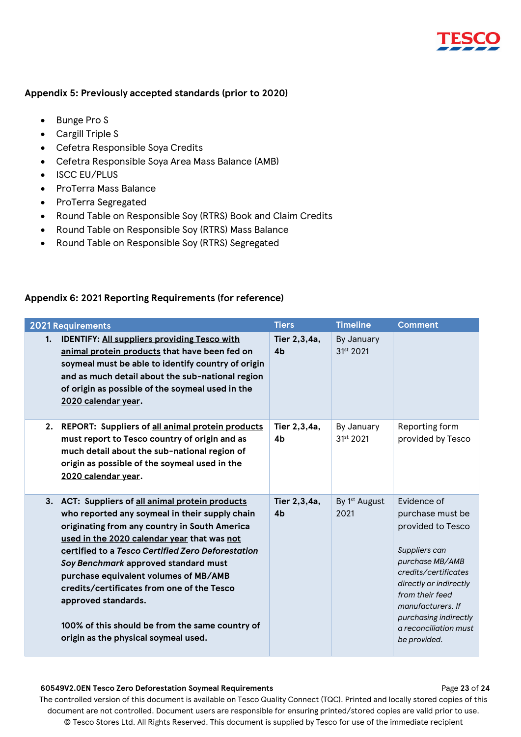

## **Appendix 5: Previously accepted standards (prior to 2020)**

- Bunge Pro S
- Cargill Triple S
- Cefetra Responsible Soya Credits
- Cefetra Responsible Soya Area Mass Balance (AMB)
- ISCC EU/PLUS
- ProTerra Mass Balance
- ProTerra Segregated
- Round Table on Responsible Soy (RTRS) Book and Claim Credits
- Round Table on Responsible Soy (RTRS) Mass Balance
- Round Table on Responsible Soy (RTRS) Segregated

## **Appendix 6: 2021 Reporting Requirements (for reference)**

| <b>2021 Requirements</b>                                                                                                                                                                                                                                                                                                                                                                                                                                                                                 | <b>Tiers</b>                   | <b>Timeline</b>                     | <b>Comment</b>                                                                                                                                                                                                                                       |
|----------------------------------------------------------------------------------------------------------------------------------------------------------------------------------------------------------------------------------------------------------------------------------------------------------------------------------------------------------------------------------------------------------------------------------------------------------------------------------------------------------|--------------------------------|-------------------------------------|------------------------------------------------------------------------------------------------------------------------------------------------------------------------------------------------------------------------------------------------------|
| 1. IDENTIFY: All suppliers providing Tesco with<br>animal protein products that have been fed on<br>soymeal must be able to identify country of origin<br>and as much detail about the sub-national region<br>of origin as possible of the soymeal used in the<br>2020 calendar year.                                                                                                                                                                                                                    | Tier 2,3,4a,<br>4 <sub>b</sub> | By January<br>31 <sup>st</sup> 2021 |                                                                                                                                                                                                                                                      |
| 2. REPORT: Suppliers of all animal protein products<br>must report to Tesco country of origin and as<br>much detail about the sub-national region of<br>origin as possible of the soymeal used in the<br>2020 calendar year.                                                                                                                                                                                                                                                                             | Tier 2,3,4a,<br>4 <sub>b</sub> | By January<br>$31^{st}$ 2021        | Reporting form<br>provided by Tesco                                                                                                                                                                                                                  |
| 3. ACT: Suppliers of all animal protein products<br>who reported any soymeal in their supply chain<br>originating from any country in South America<br>used in the 2020 calendar year that was not<br>certified to a Tesco Certified Zero Deforestation<br>Soy Benchmark approved standard must<br>purchase equivalent volumes of MB/AMB<br>credits/certificates from one of the Tesco<br>approved standards.<br>100% of this should be from the same country of<br>origin as the physical soymeal used. | Tier 2,3,4a,<br>4 <sub>b</sub> | By 1 <sup>st</sup> August<br>2021   | Evidence of<br>purchase must be<br>provided to Tesco<br>Suppliers can<br>purchase MB/AMB<br>credits/certificates<br>directly or indirectly<br>from their feed<br>manufacturers. If<br>purchasing indirectly<br>a reconciliation must<br>be provided. |

### **60549V2.0EN Tesco Zero Deforestation Soymeal Requirements** Page **23** of **24**